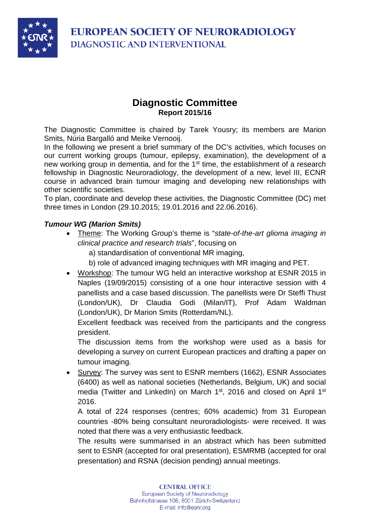



# **Diagnostic Committee Report 2015/16**

The Diagnostic Committee is chaired by Tarek Yousry; its members are Marion Smits, Núria Bargalló and Meike Vernooij.

In the following we present a brief summary of the DC's activities, which focuses on our current working groups (tumour, epilepsy, examination), the development of a new working group in dementia, and for the 1<sup>st</sup> time, the establishment of a research fellowship in Diagnostic Neuroradiology, the development of a new, level III, ECNR course in advanced brain tumour imaging and developing new relationships with other scientific societies.

To plan, coordinate and develop these activities, the Diagnostic Committee (DC) met three times in London (29.10.2015; 19.01.2016 and 22.06.2016).

### *Tumour WG (Marion Smits)*

- Theme: The Working Group's theme is "*state-of-the-art glioma imaging in clinical practice and research trials*", focusing on
	- a) standardisation of conventional MR imaging,
	- b) role of advanced imaging techniques with MR imaging and PET.
- Workshop: The tumour WG held an interactive workshop at ESNR 2015 in Naples (19/09/2015) consisting of a one hour interactive session with 4 panellists and a case based discussion. The panellists were Dr Steffi Thust (London/UK), Dr Claudia Godi (Milan/IT), Prof Adam Waldman (London/UK), Dr Marion Smits (Rotterdam/NL).

Excellent feedback was received from the participants and the congress president.

The discussion items from the workshop were used as a basis for developing a survey on current European practices and drafting a paper on tumour imaging.

• Survey: The survey was sent to ESNR members (1662), ESNR Associates (6400) as well as national societies (Netherlands, Belgium, UK) and social media (Twitter and LinkedIn) on March 1<sup>st</sup>, 2016 and closed on April 1<sup>st</sup> 2016.

A total of 224 responses (centres; 60% academic) from 31 European countries -80% being consultant neuroradiologists- were received. It was noted that there was a very enthusiastic feedback.

The results were summarised in an abstract which has been submitted sent to ESNR (accepted for oral presentation), ESMRMB (accepted for oral presentation) and RSNA (decision pending) annual meetings.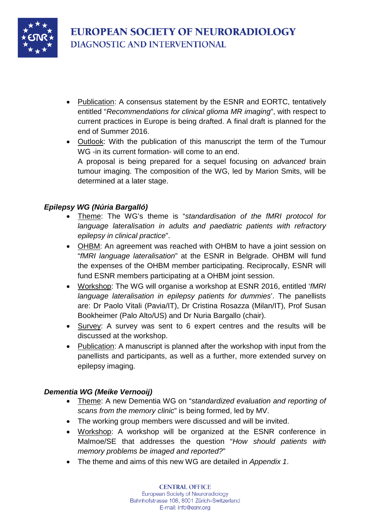

- Publication: A consensus statement by the ESNR and EORTC, tentatively entitled "*Recommendations for clinical glioma MR imaging*", with respect to current practices in Europe is being drafted. A final draft is planned for the end of Summer 2016.
- Outlook: With the publication of this manuscript the term of the Tumour WG -in its current formation- will come to an end. A proposal is being prepared for a sequel focusing on *advanced* brain tumour imaging. The composition of the WG, led by Marion Smits, will be determined at a later stage.

# *Epilepsy WG (Núria Bargalló)*

- Theme: The WG's theme is "*standardisation of the fMRI protocol for language lateralisation in adults and paediatric patients with refractory epilepsy in clinical practice*".
- OHBM: An agreement was reached with OHBM to have a joint session on "*fMRI language lateralisation*" at the ESNR in Belgrade. OHBM will fund the expenses of the OHBM member participating. Reciprocally, ESNR will fund ESNR members participating at a OHBM joint session.
- Workshop: The WG will organise a workshop at ESNR 2016, entitled '*fMRI language lateralisation in epilepsy patients for dummies*'. The panellists are: Dr Paolo Vitali (Pavia/IT), Dr Cristina Rosazza (Milan/IT), Prof Susan Bookheimer (Palo Alto/US) and Dr Nuria Bargallo (chair).
- Survey: A survey was sent to 6 expert centres and the results will be discussed at the workshop.
- Publication: A manuscript is planned after the workshop with input from the panellists and participants, as well as a further, more extended survey on epilepsy imaging.

### *Dementia WG (Meike Vernooij)*

- Theme: A new Dementia WG on "*standardized evaluation and reporting of scans from the memory clinic*" is being formed, led by MV.
- The working group members were discussed and will be invited.
- Workshop: A workshop will be organized at the ESNR conference in Malmoe/SE that addresses the question "*How should patients with memory problems be imaged and reported?*"
- The theme and aims of this new WG are detailed in *Appendix 1*.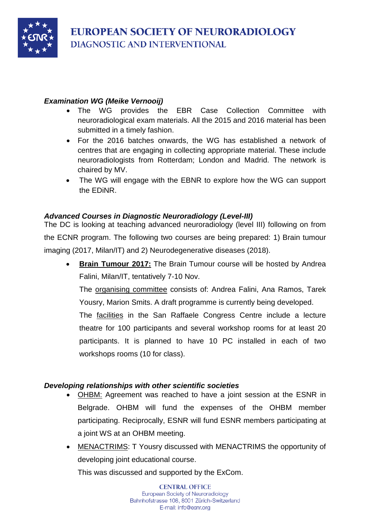

## *Examination WG (Meike Vernooij)*

- The WG provides the EBR Case Collection Committee with neuroradiological exam materials. All the 2015 and 2016 material has been submitted in a timely fashion.
- For the 2016 batches onwards, the WG has established a network of centres that are engaging in collecting appropriate material. These include neuroradiologists from Rotterdam; London and Madrid. The network is chaired by MV.
- The WG will engage with the EBNR to explore how the WG can support the EDiNR.

# *Advanced Courses in Diagnostic Neuroradiology (Level-III)*

The DC is looking at teaching advanced neuroradiology (level III) following on from the ECNR program. The following two courses are being prepared: 1) Brain tumour imaging (2017, Milan/IT) and 2) Neurodegenerative diseases (2018).

**Brain Tumour 2017:** The Brain Tumour course will be hosted by Andrea Falini, Milan/IT, tentatively 7-10 Nov.

The organising committee consists of: Andrea Falini, Ana Ramos, Tarek Yousry, Marion Smits. A draft programme is currently being developed.

The **facilities** in the San Raffaele Congress Centre include a lecture theatre for 100 participants and several workshop rooms for at least 20 participants. It is planned to have 10 PC installed in each of two workshops rooms (10 for class).

### *Developing relationships with other scientific societies*

- OHBM: Agreement was reached to have a joint session at the ESNR in Belgrade. OHBM will fund the expenses of the OHBM member participating. Reciprocally, ESNR will fund ESNR members participating at a joint WS at an OHBM meeting.
- MENACTRIMS: T Yousry discussed with MENACTRIMS the opportunity of developing joint educational course.

This was discussed and supported by the ExCom.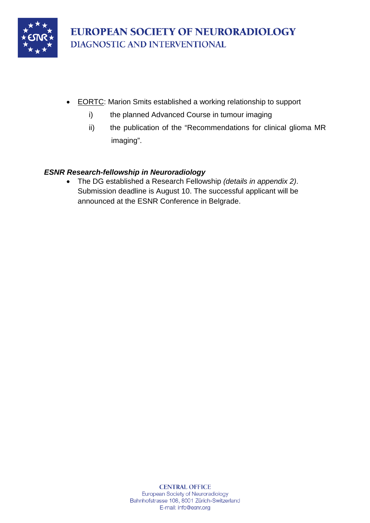

- EORTC: Marion Smits established a working relationship to support
	- i) the planned Advanced Course in tumour imaging
	- ii) the publication of the "Recommendations for clinical glioma MR imaging".

### *ESNR Research-fellowship in Neuroradiology*

• The DG established a Research Fellowship *(details in appendix 2)*. Submission deadline is August 10. The successful applicant will be announced at the ESNR Conference in Belgrade.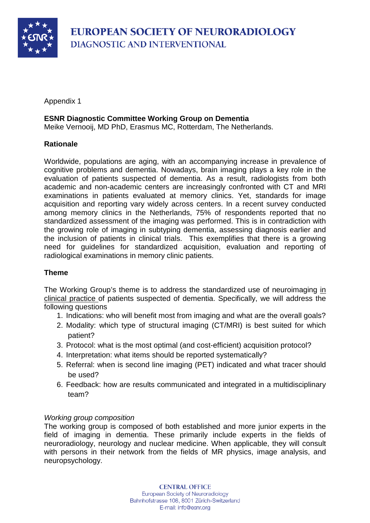

Appendix 1

#### **ESNR Diagnostic Committee Working Group on Dementia**

Meike Vernooij, MD PhD, Erasmus MC, Rotterdam, The Netherlands.

#### **Rationale**

Worldwide, populations are aging, with an accompanying increase in prevalence of cognitive problems and dementia. Nowadays, brain imaging plays a key role in the evaluation of patients suspected of dementia. As a result, radiologists from both academic and non-academic centers are increasingly confronted with CT and MRI examinations in patients evaluated at memory clinics. Yet, standards for image acquisition and reporting vary widely across centers. In a recent survey conducted among memory clinics in the Netherlands, 75% of respondents reported that no standardized assessment of the imaging was performed. This is in contradiction with the growing role of imaging in subtyping dementia, assessing diagnosis earlier and the inclusion of patients in clinical trials. This exemplifies that there is a growing need for guidelines for standardized acquisition, evaluation and reporting of radiological examinations in memory clinic patients.

#### **Theme**

The Working Group's theme is to address the standardized use of neuroimaging in clinical practice of patients suspected of dementia. Specifically, we will address the following questions

- 1. Indications: who will benefit most from imaging and what are the overall goals?
- 2. Modality: which type of structural imaging (CT/MRI) is best suited for which patient?
- 3. Protocol: what is the most optimal (and cost-efficient) acquisition protocol?
- 4. Interpretation: what items should be reported systematically?
- 5. Referral: when is second line imaging (PET) indicated and what tracer should be used?
- 6. Feedback: how are results communicated and integrated in a multidisciplinary team?

#### *Working group composition*

The working group is composed of both established and more junior experts in the field of imaging in dementia. These primarily include experts in the fields of neuroradiology, neurology and nuclear medicine. When applicable, they will consult with persons in their network from the fields of MR physics, image analysis, and neuropsychology.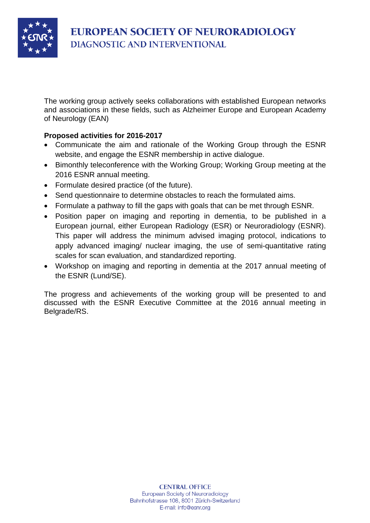

The working group actively seeks collaborations with established European networks and associations in these fields, such as Alzheimer Europe and European Academy of Neurology (EAN)

### **Proposed activities for 2016-2017**

- Communicate the aim and rationale of the Working Group through the ESNR website, and engage the ESNR membership in active dialogue.
- Bimonthly teleconference with the Working Group; Working Group meeting at the 2016 ESNR annual meeting.
- Formulate desired practice (of the future).
- Send questionnaire to determine obstacles to reach the formulated aims.
- Formulate a pathway to fill the gaps with goals that can be met through ESNR.
- Position paper on imaging and reporting in dementia, to be published in a European journal, either European Radiology (ESR) or Neuroradiology (ESNR). This paper will address the minimum advised imaging protocol, indications to apply advanced imaging/ nuclear imaging, the use of semi-quantitative rating scales for scan evaluation, and standardized reporting.
- Workshop on imaging and reporting in dementia at the 2017 annual meeting of the ESNR (Lund/SE).

The progress and achievements of the working group will be presented to and discussed with the ESNR Executive Committee at the 2016 annual meeting in Belgrade/RS.